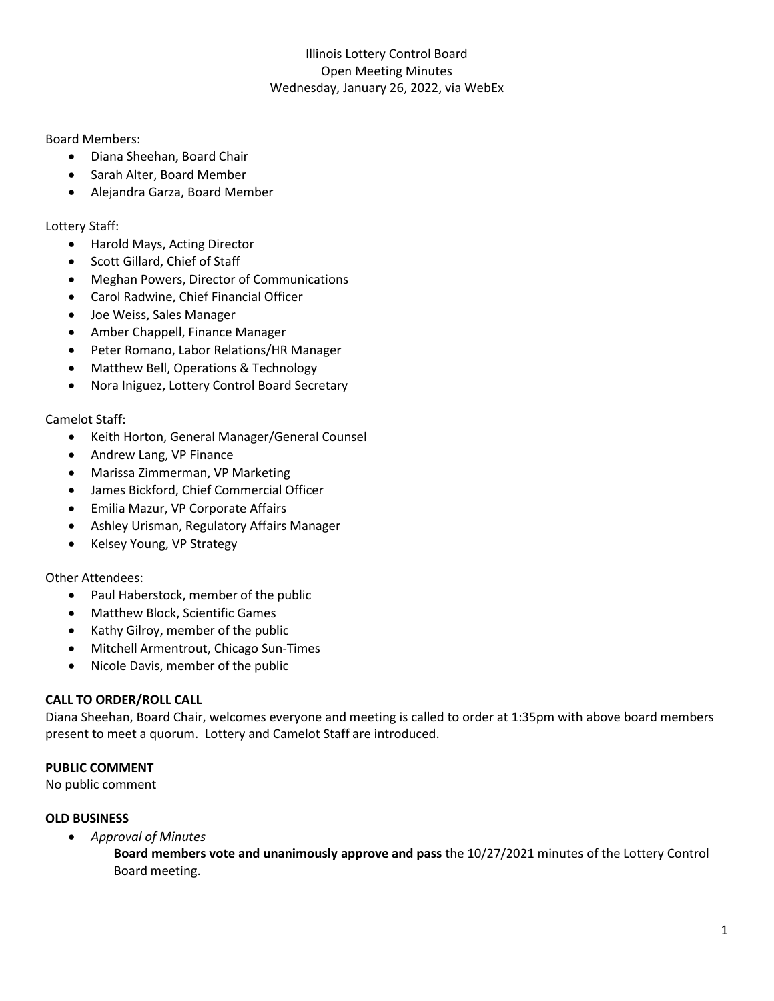Board Members:

- Diana Sheehan, Board Chair
- Sarah Alter, Board Member
- Alejandra Garza, Board Member

Lottery Staff:

- Harold Mays, Acting Director
- Scott Gillard, Chief of Staff
- Meghan Powers, Director of Communications
- Carol Radwine, Chief Financial Officer
- Joe Weiss, Sales Manager
- Amber Chappell, Finance Manager
- Peter Romano, Labor Relations/HR Manager
- Matthew Bell, Operations & Technology
- Nora Iniguez, Lottery Control Board Secretary

Camelot Staff:

- Keith Horton, General Manager/General Counsel
- Andrew Lang, VP Finance
- Marissa Zimmerman, VP Marketing
- James Bickford, Chief Commercial Officer
- Emilia Mazur, VP Corporate Affairs
- Ashley Urisman, Regulatory Affairs Manager
- Kelsey Young, VP Strategy

Other Attendees:

- Paul Haberstock, member of the public
- Matthew Block, Scientific Games
- Kathy Gilroy, member of the public
- Mitchell Armentrout, Chicago Sun-Times
- Nicole Davis, member of the public

# **CALL TO ORDER/ROLL CALL**

Diana Sheehan, Board Chair, welcomes everyone and meeting is called to order at 1:35pm with above board members present to meet a quorum. Lottery and Camelot Staff are introduced.

# **PUBLIC COMMENT**

No public comment

# **OLD BUSINESS**

• *Approval of Minutes*

**Board members vote and unanimously approve and pass** the 10/27/2021 minutes of the Lottery Control Board meeting.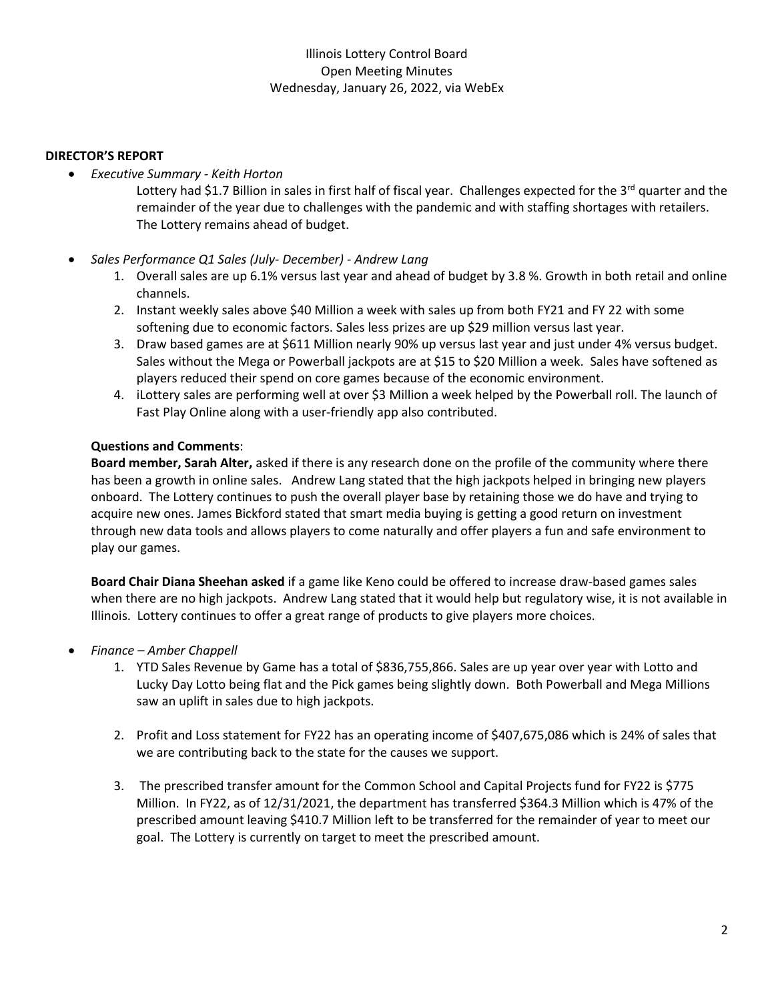### **DIRECTOR'S REPORT**

• *Executive Summary - Keith Horton*

Lottery had \$1.7 Billion in sales in first half of fiscal year. Challenges expected for the 3<sup>rd</sup> quarter and the remainder of the year due to challenges with the pandemic and with staffing shortages with retailers. The Lottery remains ahead of budget.

#### • *Sales Performance Q1 Sales (July- December) - Andrew Lang*

- 1. Overall sales are up 6.1% versus last year and ahead of budget by 3.8 %. Growth in both retail and online channels.
- 2. Instant weekly sales above \$40 Million a week with sales up from both FY21 and FY 22 with some softening due to economic factors. Sales less prizes are up \$29 million versus last year.
- 3. Draw based games are at \$611 Million nearly 90% up versus last year and just under 4% versus budget. Sales without the Mega or Powerball jackpots are at \$15 to \$20 Million a week. Sales have softened as players reduced their spend on core games because of the economic environment.
- 4. iLottery sales are performing well at over \$3 Million a week helped by the Powerball roll. The launch of Fast Play Online along with a user-friendly app also contributed.

#### **Questions and Comments**:

**Board member, Sarah Alter,** asked if there is any research done on the profile of the community where there has been a growth in online sales. Andrew Lang stated that the high jackpots helped in bringing new players onboard. The Lottery continues to push the overall player base by retaining those we do have and trying to acquire new ones. James Bickford stated that smart media buying is getting a good return on investment through new data tools and allows players to come naturally and offer players a fun and safe environment to play our games.

**Board Chair Diana Sheehan asked** if a game like Keno could be offered to increase draw-based games sales when there are no high jackpots. Andrew Lang stated that it would help but regulatory wise, it is not available in Illinois. Lottery continues to offer a great range of products to give players more choices.

- *Finance – Amber Chappell*
	- 1. YTD Sales Revenue by Game has a total of \$836,755,866. Sales are up year over year with Lotto and Lucky Day Lotto being flat and the Pick games being slightly down. Both Powerball and Mega Millions saw an uplift in sales due to high jackpots.
	- 2. Profit and Loss statement for FY22 has an operating income of \$407,675,086 which is 24% of sales that we are contributing back to the state for the causes we support.
	- 3. The prescribed transfer amount for the Common School and Capital Projects fund for FY22 is \$775 Million. In FY22, as of 12/31/2021, the department has transferred \$364.3 Million which is 47% of the prescribed amount leaving \$410.7 Million left to be transferred for the remainder of year to meet our goal. The Lottery is currently on target to meet the prescribed amount.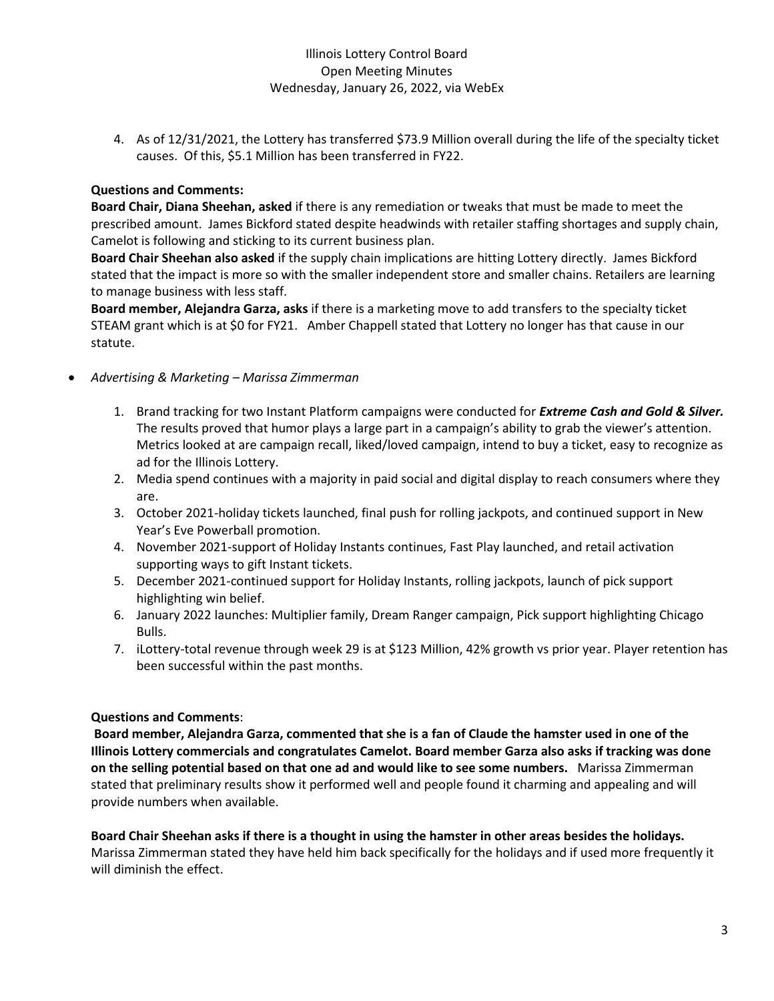4. As of 12/31/2021, the Lottery has transferred \$73.9 Million overall during the life of the specialty ticket causes. Of this, \$5.1 Million has been transferred in FY22.

### **Questions and Comments:**

**Board Chair, Diana Sheehan, asked** if there is any remediation or tweaks that must be made to meet the prescribed amount. James Bickford stated despite headwinds with retailer staffing shortages and supply chain, Camelot is following and sticking to its current business plan.

**Board Chair Sheehan also asked** if the supply chain implications are hitting Lottery directly. James Bickford stated that the impact is more so with the smaller independent store and smaller chains. Retailers are learning to manage business with less staff.

**Board member, Alejandra Garza, asks** if there is a marketing move to add transfers to the specialty ticket STEAM grant which is at \$0 for FY21. Amber Chappell stated that Lottery no longer has that cause in our statute.

- *Advertising & Marketing – Marissa Zimmerman*
	- 1. Brand tracking for two Instant Platform campaigns were conducted for *Extreme Cash and Gold & Silver.* The results proved that humor plays a large part in a campaign's ability to grab the viewer's attention. Metrics looked at are campaign recall, liked/loved campaign, intend to buy a ticket, easy to recognize as ad for the Illinois Lottery.
	- 2. Media spend continues with a majority in paid social and digital display to reach consumers where they are.
	- 3. October 2021-holiday tickets launched, final push for rolling jackpots, and continued support in New Year's Eve Powerball promotion.
	- 4. November 2021-support of Holiday Instants continues, Fast Play launched, and retail activation supporting ways to gift Instant tickets.
	- 5. December 2021-continued support for Holiday Instants, rolling jackpots, launch of pick support highlighting win belief.
	- 6. January 2022 launches: Multiplier family, Dream Ranger campaign, Pick support highlighting Chicago Bulls.
	- 7. iLottery-total revenue through week 29 is at \$123 Million, 42% growth vs prior year. Player retention has been successful within the past months.

# **Questions and Comments**:

**Board member, Alejandra Garza, commented that she is a fan of Claude the hamster used in one of the Illinois Lottery commercials and congratulates Camelot. Board member Garza also asks if tracking was done on the selling potential based on that one ad and would like to see some numbers.** Marissa Zimmerman stated that preliminary results show it performed well and people found it charming and appealing and will provide numbers when available.

**Board Chair Sheehan asks if there is a thought in using the hamster in other areas besides the holidays.** Marissa Zimmerman stated they have held him back specifically for the holidays and if used more frequently it will diminish the effect.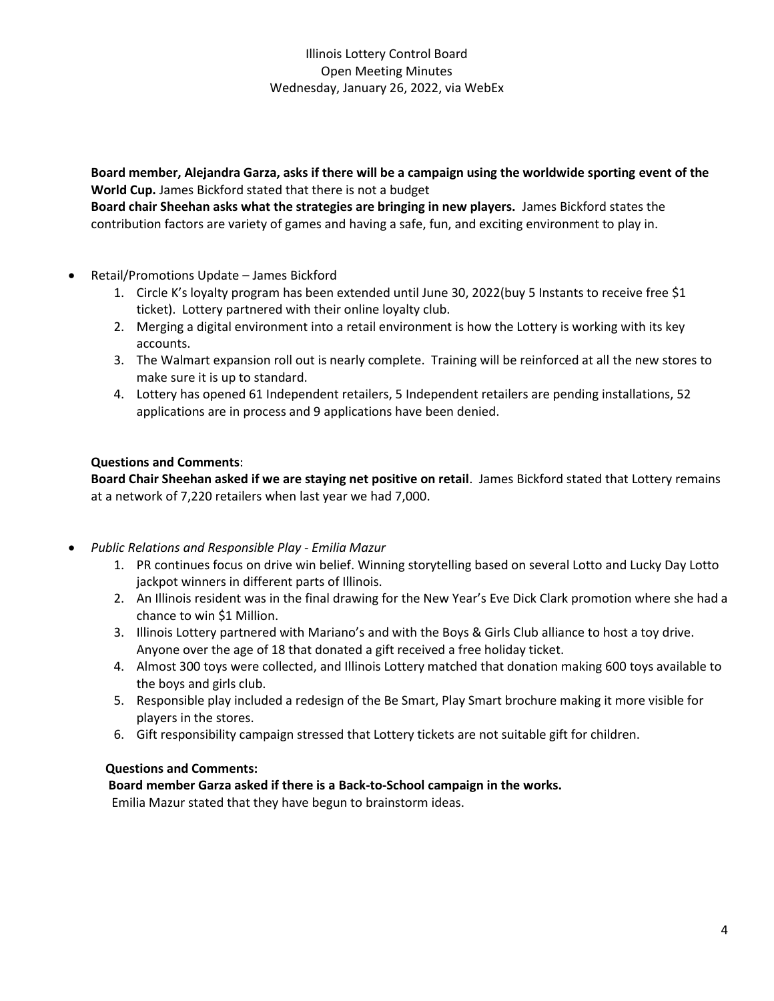**Board member, Alejandra Garza, asks if there will be a campaign using the worldwide sporting event of the World Cup.** James Bickford stated that there is not a budget

**Board chair Sheehan asks what the strategies are bringing in new players.** James Bickford states the contribution factors are variety of games and having a safe, fun, and exciting environment to play in.

- Retail/Promotions Update James Bickford
	- 1. Circle K's loyalty program has been extended until June 30, 2022(buy 5 Instants to receive free \$1 ticket). Lottery partnered with their online loyalty club.
	- 2. Merging a digital environment into a retail environment is how the Lottery is working with its key accounts.
	- 3. The Walmart expansion roll out is nearly complete. Training will be reinforced at all the new stores to make sure it is up to standard.
	- 4. Lottery has opened 61 Independent retailers, 5 Independent retailers are pending installations, 52 applications are in process and 9 applications have been denied.

# **Questions and Comments**:

**Board Chair Sheehan asked if we are staying net positive on retail**. James Bickford stated that Lottery remains at a network of 7,220 retailers when last year we had 7,000.

- *Public Relations and Responsible Play - Emilia Mazur*
	- 1. PR continues focus on drive win belief. Winning storytelling based on several Lotto and Lucky Day Lotto jackpot winners in different parts of Illinois.
	- 2. An Illinois resident was in the final drawing for the New Year's Eve Dick Clark promotion where she had a chance to win \$1 Million.
	- 3. Illinois Lottery partnered with Mariano's and with the Boys & Girls Club alliance to host a toy drive. Anyone over the age of 18 that donated a gift received a free holiday ticket.
	- 4. Almost 300 toys were collected, and Illinois Lottery matched that donation making 600 toys available to the boys and girls club.
	- 5. Responsible play included a redesign of the Be Smart, Play Smart brochure making it more visible for players in the stores.
	- 6. Gift responsibility campaign stressed that Lottery tickets are not suitable gift for children.

# **Questions and Comments:**

 **Board member Garza asked if there is a Back-to-School campaign in the works.**

Emilia Mazur stated that they have begun to brainstorm ideas.